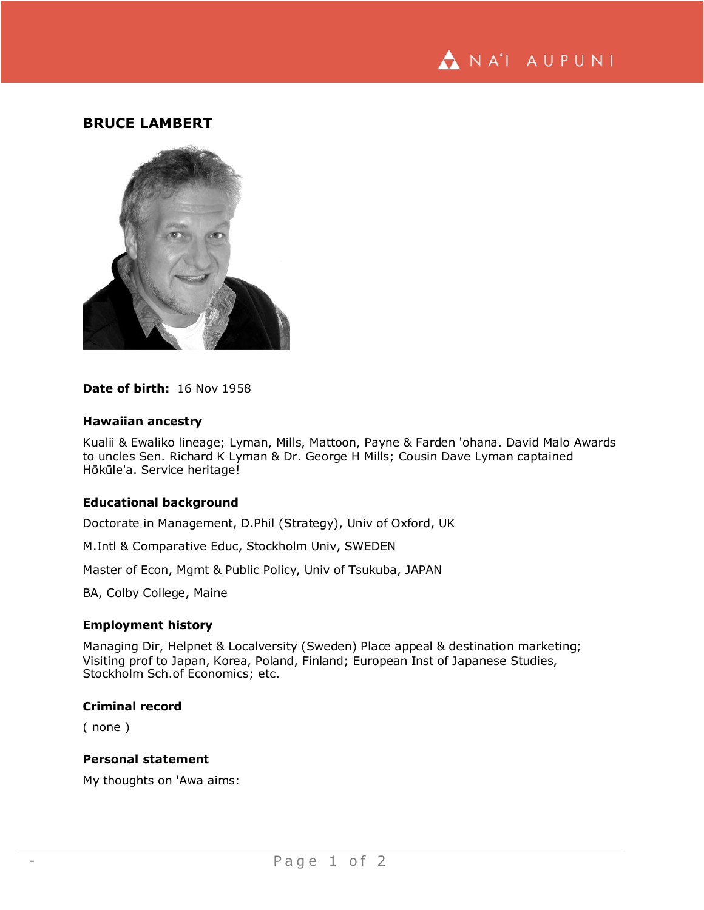

# **BRUCE LAMBERT**



#### **Date of birth:** 16 Nov 1958

#### **Hawaiian ancestry**

Kualii & Ewaliko lineage; Lyman, Mills, Mattoon, Payne & Farden 'ohana. David Malo Awards to uncles Sen. Richard K Lyman & Dr. George H Mills; Cousin Dave Lyman captained Hōkūle'a. Service heritage!

# **Educational background**

Doctorate in Management, D.Phil (Strategy), Univ of Oxford, UK

M.Intl & Comparative Educ, Stockholm Univ, SWEDEN

Master of Econ, Mgmt & Public Policy, Univ of Tsukuba, JAPAN

BA, Colby College, Maine

### **Employment history**

Managing Dir, Helpnet & Localversity (Sweden) Place appeal & destination marketing; Visiting prof to Japan, Korea, Poland, Finland; European Inst of Japanese Studies, Stockholm Sch.of Economics; etc.

### **Criminal record**

( none )

# **Personal statement**

My thoughts on 'Awa aims: